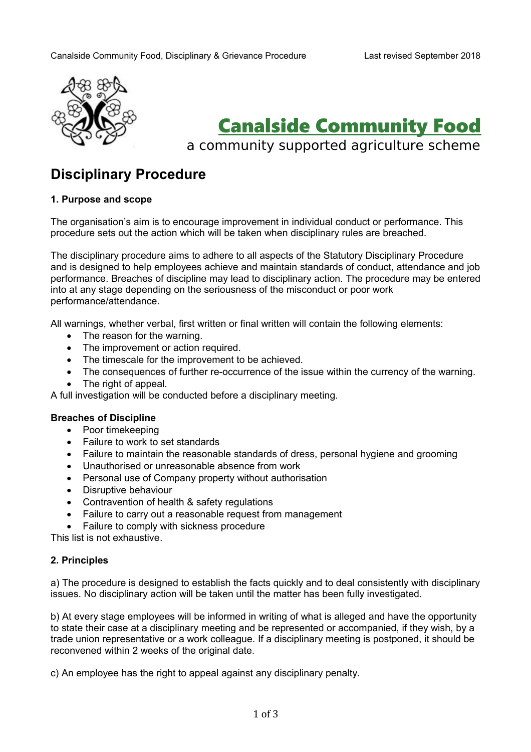

# Canalside Community Food

a community supported agriculture scheme

# **Disciplinary Procedure**

## **1. Purpose and scope**

The organisation's aim is to encourage improvement in individual conduct or performance. This procedure sets out the action which will be taken when disciplinary rules are breached.

The disciplinary procedure aims to adhere to all aspects of the Statutory Disciplinary Procedure and is designed to help employees achieve and maintain standards of conduct, attendance and job performance. Breaches of discipline may lead to disciplinary action. The procedure may be entered into at any stage depending on the seriousness of the misconduct or poor work performance/attendance.

All warnings, whether verbal, first written or final written will contain the following elements:

- The reason for the warning.
- The improvement or action required.
- The timescale for the improvement to be achieved.
- The consequences of further re-occurrence of the issue within the currency of the warning.
- The right of appeal.

A full investigation will be conducted before a disciplinary meeting.

#### **Breaches of Discipline**

- Poor timekeeping
- Failure to work to set standards
- Failure to maintain the reasonable standards of dress, personal hygiene and grooming
- Unauthorised or unreasonable absence from work
- Personal use of Company property without authorisation
- Disruptive behaviour
- Contravention of health & safety regulations
- Failure to carry out a reasonable request from management
- Failure to comply with sickness procedure

This list is not exhaustive.

#### **2. Principles**

a) The procedure is designed to establish the facts quickly and to deal consistently with disciplinary issues. No disciplinary action will be taken until the matter has been fully investigated.

b) At every stage employees will be informed in writing of what is alleged and have the opportunity to state their case at a disciplinary meeting and be represented or accompanied, if they wish, by a trade union representative or a work colleague. If a disciplinary meeting is postponed, it should be reconvened within 2 weeks of the original date.

c) An employee has the right to appeal against any disciplinary penalty.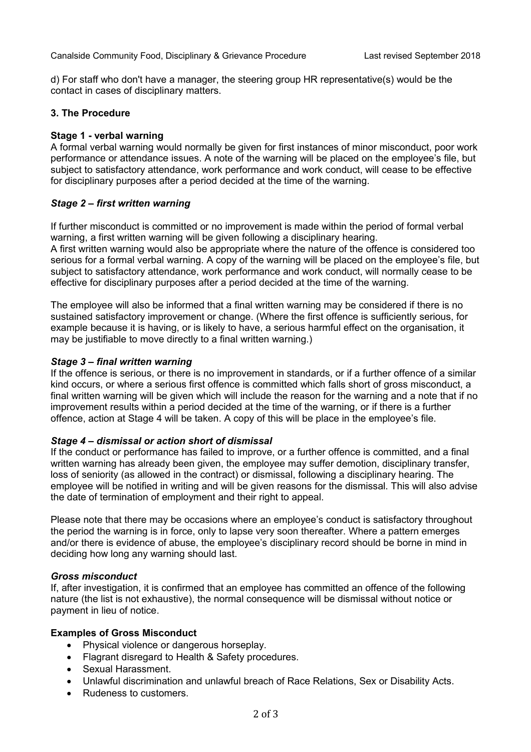d) For staff who don't have a manager, the steering group HR representative(s) would be the contact in cases of disciplinary matters.

#### **3. The Procedure**

#### **Stage 1 - verbal warning**

A formal verbal warning would normally be given for first instances of minor misconduct, poor work performance or attendance issues. A note of the warning will be placed on the employee's file, but subject to satisfactory attendance, work performance and work conduct, will cease to be effective for disciplinary purposes after a period decided at the time of the warning.

#### *Stage 2 – first written warning*

If further misconduct is committed or no improvement is made within the period of formal verbal warning, a first written warning will be given following a disciplinary hearing.

A first written warning would also be appropriate where the nature of the offence is considered too serious for a formal verbal warning. A copy of the warning will be placed on the employee's file, but subject to satisfactory attendance, work performance and work conduct, will normally cease to be effective for disciplinary purposes after a period decided at the time of the warning.

The employee will also be informed that a final written warning may be considered if there is no sustained satisfactory improvement or change. (Where the first offence is sufficiently serious, for example because it is having, or is likely to have, a serious harmful effect on the organisation, it may be justifiable to move directly to a final written warning.)

#### *Stage 3 – final written warning*

If the offence is serious, or there is no improvement in standards, or if a further offence of a similar kind occurs, or where a serious first offence is committed which falls short of gross misconduct, a final written warning will be given which will include the reason for the warning and a note that if no improvement results within a period decided at the time of the warning, or if there is a further offence, action at Stage 4 will be taken. A copy of this will be place in the employee's file.

#### *Stage 4 – dismissal or action short of dismissal*

If the conduct or performance has failed to improve, or a further offence is committed, and a final written warning has already been given, the emplovee may suffer demotion, disciplinary transfer. loss of seniority (as allowed in the contract) or dismissal, following a disciplinary hearing. The employee will be notified in writing and will be given reasons for the dismissal. This will also advise the date of termination of employment and their right to appeal.

Please note that there may be occasions where an employee's conduct is satisfactory throughout the period the warning is in force, only to lapse very soon thereafter. Where a pattern emerges and/or there is evidence of abuse, the employee's disciplinary record should be borne in mind in deciding how long any warning should last.

#### *Gross misconduct*

If, after investigation, it is confirmed that an employee has committed an offence of the following nature (the list is not exhaustive), the normal consequence will be dismissal without notice or payment in lieu of notice.

#### **Examples of Gross Misconduct**

- Physical violence or dangerous horseplay.
- Flagrant disregard to Health & Safety procedures.
- Sexual Harassment.
- Unlawful discrimination and unlawful breach of Race Relations, Sex or Disability Acts.
- Rudeness to customers.